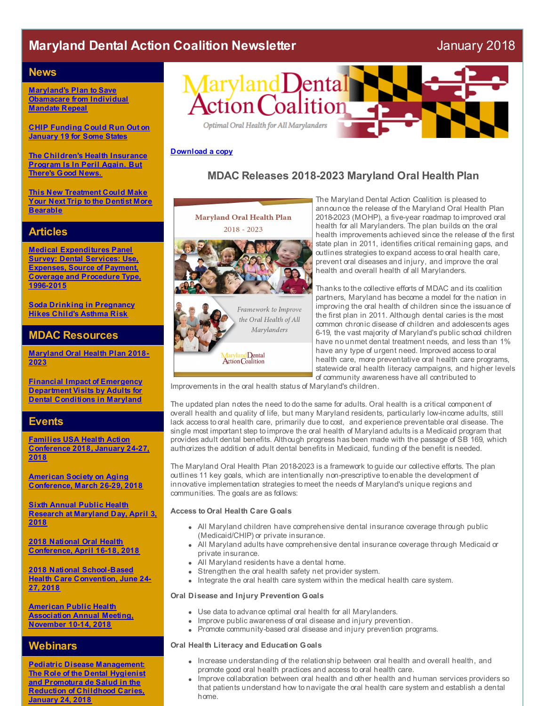# **Maryland Dental Action Coalition Newsletter** January 2018

#### **News**

**Maryland's Plan to Save [Obamacare](http://r20.rs6.net/tn.jsp?f=001yofpjRohSO_ppen4TX8l79FDk89SMSW3y1qYXeN4B3GRdXFenT9NL4pO6edjJr7rWo-jvkQ5XD79zxE9qRH065dz7mr2witErOD1TPqRnjxJhuNPZNderfYFQmPz3C5ahL1ILeFyKY92CcqhPG-3WMESXvuv8CFxkMm12CbYknXEoT6lygBemc8NnRFDGTswJT90lPrhm7gOEsrx7xdY3cxjel_3b9KR31WCkRP6JVK3E9VUwjVtyKBgHkqCbUzFlx1nj4-ZE-sUhOzcxPpRTv8BLA_jvMzHx3IliIP7KL674hAsGy8FgOvFonLixv43xrTuEvmpDarS248gLyLD1LT0DUlwzbpCXAXwIsZvRdCUFobEuAHN8BudiXpZoDUoqI-72UQq_2jYN6R-3xN6DgFQyMFeY9jobQgQFSi06VY=&c=&ch=) from Individual Mandate Repeal**

**CHIP [Funding](http://r20.rs6.net/tn.jsp?f=001yofpjRohSO_ppen4TX8l79FDk89SMSW3y1qYXeN4B3GRdXFenT9NL-5sooruxC3uDcN3sXUHeUT5bkG_1WssQUkvv0S9UnFo1PFjrZ6OZf19qVEE8R7Yz1Pcb7tbInLytwhdaZF89Bjmq2f-HIYYigWqYBjWB4MXh3tk_3amgxU6BdJpjwgA91EoH2Q698f1him1s0zKBKb1LJyf5ye_DxgVz4x2CTRWUdj6lrhRPQ8xEpIb9g8ZQEWrcuwBzMW1mZZAYgzCED4uWYlyk5h8qrKZlYAJQjCv15Ytq4mEOM1_b6ZDs3fxw_SxqEhe_1r0xqkjf8N5r9ynp7rzjVR9i2Vixb3kye7kas7DcaizFufGbRqyE_NQsou_6ly9A6XamFE7xcB0f-ikbCF1Kv6eSB0a1LWUBD5TOH9_qcWKnx_swqTR-6IjHOH3GA5B31n2nh4T2A9k_88dGTV2v9gI9w==&c=&ch=) Could Run Out on January 19 for Some States**

**The [Children's](http://r20.rs6.net/tn.jsp?f=001yofpjRohSO_ppen4TX8l79FDk89SMSW3y1qYXeN4B3GRdXFenT9NL4pO6edjJr7rAN9vhmoluko3gxCxsTx3dhxOVdWSYbAjwcQ47jGTN9AFekfFmzWUrBfi2xSv1Wmdn5o3oPCgtAGGV4yF5qzCmO3PFhDC16Sfupt3ydq3rywn06MlME8uC7gl0UcNyKgVphuhvonrnnw1s-5Qs4gjfdqzJHqp96fvC4AEggI1vkXUi6-uasuFVvp1Fb63VnP-nPM_aigGhgmWKYoG8nVptqFI7yTp5HgUNfuISLDDgOA351U4taO7WU8QOvqGz8bYpmd-Mrf_jYHG6D3zmTf7x0UIy0sN-1o6E21Q8mnftX9q3OvFW4CN_Dx_ik_1IPiS2dUEd1dKEGVvcRr2Va57g8KV-3CS3Q4eMdl8O2WE3bskluAhKq1i8TLMyU-Nn-YK&c=&ch=) Health Insurance Program Is In Peril Again. But There's Good News.**

**This New [Treatment](http://r20.rs6.net/tn.jsp?f=001yofpjRohSO_ppen4TX8l79FDk89SMSW3y1qYXeN4B3GRdXFenT9NL-5sooruxC3ufHptTpuXAH8v5g7wj8PJTLg7mD6HDOJFcPhOgIxfInuzHphHABQ_BAUMnXlONDvePjvL316ouCR7hlMOSyksPUhP2EVqeRarFA--8HHZRJyRr75XFS1wa36KilAS0FerZNorh0PUklTr7StmdaxixfBa6oEadteCWyUU6FHZf7nu3C0m_EasBk5MY3XhHLPeeX6xCaS4YW6D4dnugo6b-mXjj6dedG2xm87np_X4aqMHX8l6MvAW79cUairpTkMKVIPj_guBP-lKja_AF6btw6KAtbU8Ji0ZwHxzmsupjvHRmYGxRogYkqUFt56bCsRULQnf4QJOQ_HlHD1HLD5POjaSSGPlixosHO-_y3EdhW29-5TQZE7IUbaIkdNw66xB&c=&ch=) Could Make Your Next Trip to the Dentist More Bearable**

### **Articles**

**Medical [Expenditures](http://r20.rs6.net/tn.jsp?f=001yofpjRohSO_ppen4TX8l79FDk89SMSW3y1qYXeN4B3GRdXFenT9NL-5sooruxC3uKvHE9KSMUH7ldqS-uM7QllaAfL_2XMy7VkmrHN8YSqk8KiJa6d-zj4J2HatGom5QOWDyRaiQT5cP3KsXHKAOKvNtiT4qxGMHcCApbhFHo-KuqzViX132l4J7Xre4vob_0EwNQfxI7VSD-mx3uUoTFrDNR5YMTWe-WefEoChIcn4aLZ6MmnMB55I6BZgfC_M7hf88FX0HEe76ijJZ012Cb2bsGKJv1Stpt9QS8G4AnFYVUhQCYGxVJm91l3rtjubGQWuvIPAoT1HqSNhv6EKfeBmhrZ9haizPzKGYVgC4IEngECoSS9aXTTuaeCb3XAmI&c=&ch=) Panel Survey: Dental Services: Use, Expenses, Source of Payment, Coverage and Procedure Type, 1996-2015**

**Soda Drinking in [Pregnancy](http://r20.rs6.net/tn.jsp?f=001yofpjRohSO_ppen4TX8l79FDk89SMSW3y1qYXeN4B3GRdXFenT9NL-5sooruxC3ucwGSdc_3gYvwmokb0aUfntAlikN9WGApaf8nb7ZY8b-v8MLGNCistkq0BJvDgJrEip756v5RNwVkXYJ981guSeKLT3vK2uD3cm8MeITmW2FsUFNS0k-fYzjSgnJFFE35E0G6kWiW6pLL3HyhhIDl-bOm4Neuoln0ekTyIXgSAi7WWWM1aQrKm9Z2nOC7X387oRaXz5wi2UdraEbRtMylkyLwCDivlwP_hFrTL3YzQAIy3zVKN-zEj4eS4UDutDDNu_TOFu1-vZBugOjLxE3BKvyHtAqsA2XM6xP4G3FUCxIauW4H282zzvOLKeroGCreXVewgzyxmeDUNQLErp207uEbe6d779thzuMSQ7hYS2YPiAY0NAhTv-nyIFnswtBGqktipTPVugbvsjnvug2Dg_fVJfnE8C2jtPmmqsJmte6YXhBQEkRrxg==&c=&ch=) Hikes Child's Asthma Risk**

## **MDAC Resources**

**[Maryland](http://r20.rs6.net/tn.jsp?f=001yofpjRohSO_ppen4TX8l79FDk89SMSW3y1qYXeN4B3GRdXFenT9NL4pO6edjJr7r3l5DTZXowIJXBJJj2ad0uQcrF1U5tQDTct8LmNctyd24I5WhocgTEggFNujWKZ2q0EBROBgiiXDT8iDB41iOtCs7fIDcDOjUyGlMDssRBNTXm6MYCsFwiKgCQwwq4cbmUymGrLddLoAEMzSlgERFuJbGMpaehn4YNJODr9KBMmmNCSzM9zh_x4eEMD_9rNUMp3SkFRtZAOkOaXfSHk9Vdq06_v64kxzM2mTIYqUjHGA5TP9AQE2IcGjglQZkD8hvswNuo7aYmJmTEQZ4QxTm0BsY-OHJj_hqn9pwxv4Ymg0=&c=&ch=) Oral Health Plan 2018- 2023**

**Financial Impact of Emergency [Department](http://r20.rs6.net/tn.jsp?f=001yofpjRohSO_ppen4TX8l79FDk89SMSW3y1qYXeN4B3GRdXFenT9NL4pO6edjJr7r-HgOZIfvfSAr7FB6t_b_7xmYMZjuPU3laaMNv1bt-FbKwoK78_hLDxMjoQnE8m-zcfHzzSXsxJjZeo_eWpWa0AHra7IuRUueT-EeXrOkoQWRVfr1J3fPFs9vwXDqLEy6qMfTEPQLaMa-WbyP0G_GGDaZ5uc5Lez2iEQYBCjvVq2_KZlH9fDcSQWtWz9K0roTbwpdRW804VLnQYvAT93cb8DyROQ99m4eeGT_CDjky0IFsCyuG-xUtFtkzcyNV1YTOh6OHz-jTdWJ7whXSJP56Q==&c=&ch=) Visits by Adults for Dental Conditions in Maryland**

### **Events**

**Families USA Health Action [Conference](http://r20.rs6.net/tn.jsp?f=001yofpjRohSO_ppen4TX8l79FDk89SMSW3y1qYXeN4B3GRdXFenT9NL8fI6Pbcn4aCxUEs2vwAHgjB31jZfOUQSD1lt1uPfvFDN9yQ6-oTmAGT2XuKAIyXkHPIm5kz-KAsoV0KnItBAuVv8AgDjv6TlahYAm0u7sK3Cxyqe83l5z7CdMmU1F4qwpnXAynCKZD9UfuRPMvFIQ3IaLg_KJg2zhmgaz7jpDysAU5IzZiTi9PVLUufr8AtdFxbdBnvwagRNBx-APP1bZEJsERVh69qmk4b-iAH7jbspAC-s3lExv1yKYKJCEup8pGm1H_coDfEzH4QOK4eDSlrlhmSMMUJ9Q==&c=&ch=) 2018, January 24-27, 2018**

**American Society on Aging [Conference,](http://r20.rs6.net/tn.jsp?f=001yofpjRohSO_ppen4TX8l79FDk89SMSW3y1qYXeN4B3GRdXFenT9NL8MhtSVQQcu9JBs-ErjEnQC78LpAtF87XoDkUU9z46WW7iUZQquEcHWjaqA-NXnLKYiGxibBEOcPLU0Enz4M8En8y8nseq2GuqG5GCLZ7fXfqAks8y4rA2j7mYAgmZXd3r7d4Yo7tlca8t5ILosXkzX6mpyPb2vBNMfmBUki_sNQ0e4SvjOaAYx0XXibvXNEWE5GfxuE0op3tW8BaV7mHFohkegV5U_ce4GPhxlfmfXDRytq93C0cJ1ZE_nXiatzLrV3F9nmZEemCIFOHmPrBGGN0r8e50jH501IRJ2PvKIM&c=&ch=) March 26-29, 2018**

**Sixth Annual Public Health [Research](http://r20.rs6.net/tn.jsp?f=001yofpjRohSO_ppen4TX8l79FDk89SMSW3y1qYXeN4B3GRdXFenT9NL857IP2UAb9XRg_dPyTr3u1UuFLDAGvPK8-RpKGAJrsH1hkrQn816ABYh1RxyFZgBeul_wZpmXKFLn1sdtkumORdkckpXj7vAoKBUkZCEuCiiOW84Tt7Mk5FH10wNFCeXIkGA-8l-gZVSPayiDcy0mNd1nYlVptLuckzUPYFLl7-Wxhr3jiNfe6pqpxMi5F5TXajHxGj_821jaB4HIFWtcESzXJNqeZOltcrU2tMjfDuTorJJCRD5hnThpkPE5E38UV3gW_qmVcWOFxOlri_J1jwgoCfJ3AjiS13KwrKhssLwxAhHOuv002A1Fib2xHPzFuZg_ELiriSnHEc0eI4yviVvFw7zxhpO0Z5MyEIo4nNK62V5-0wnSpAc_hNq0G31yJnfkWQZE00&c=&ch=) at Maryland Day, April 3, 2018**

**2018 National Oral Health [Conference,](http://r20.rs6.net/tn.jsp?f=001yofpjRohSO_ppen4TX8l79FDk89SMSW3y1qYXeN4B3GRdXFenT9NL8MhtSVQQcu9vkAp2QZZMcVZBwW7DwIj8p12Rgf6xw_l9ZBHZ7mDVVorO1ZY_DxEdZeQa9p8KCyucL7CN7th_2JPDV5Zr1OeFyzLGnFeKwQK80kqwXaWCGCcfH6P3Oj850fif40ZhIUf5bHrBby3j8Hmt6kjqbal4VFLdijLBHzMVAACdVcNA1idiC7zpeTar9aSM-qtmNtr3OmLB4rKWrezrCsWYKGRi6LIeXFmKdFgqPdWVB7LOQ2WMSppbEHIgUU-TDYto3ifxIeq6hEoUrbgywaa-Fd3OFkjcm6dDOhZ&c=&ch=) April 16-18, 2018**

**2018 National [School-Based](http://r20.rs6.net/tn.jsp?f=001yofpjRohSO_ppen4TX8l79FDk89SMSW3y1qYXeN4B3GRdXFenT9NL8MhtSVQQcu9-l09BJ2XcQZhh8mClfOOtq42MXtPLuFYn8A3JWuS--74CqiE0iDdElmA6Cluc2DP_sAJgEh3mc3TYEDDfMrHs8f9STHvMAG5Ssb7iGaqSJKpOvF51Eg7dBLbiT3YK0wPfoGmd3r6bDBw6BEPqwdu6dtfR56xXe9jC8L-gMNJPRKHkdEOodnbikUB0N8IIOhbBRiOYIga-o7_ZwwV53mkf3gX5kiw3Sk3SZLO6uUB1fpxOZ2OMmNHHZoRNolQAuzsHRQtAivC-rHi3vKQKvQ6SzRnWKSLbISolcL9YHqS0Vk=&c=&ch=) Health Care Convention, June 24- 27, 2018**

**American Public Health [Association](http://r20.rs6.net/tn.jsp?f=001yofpjRohSO_ppen4TX8l79FDk89SMSW3y1qYXeN4B3GRdXFenT9NL-5sooruxC3urE9YBIAY7YUMeAv0jjC7egrNtsyj-gLItHOPaH-Edw9oqq-gdNlyJKm9sP3WGBHyDbW-84dqAFb1soEugbmKIdurpBx2zX-eVrS56Iz0nr2C-AQQoM9CKGfMNUV0VpNcJOISNg4SbI96ZSxEw1qOaI6SGF2ZP5ooEOBSFROeR_lj-evWgOAy1sIcbRWnUFERGyt_RHks3MGnOkhT56hWc0SbArgRkZyO8bRrXdIDILLyAILJJLxmmGG_0g9MxYxjIyM72froSlF8456TXn0LR8U1v-yOIjYF6rMajhx6Hdx7syezIcdE_5p8o6on4VOFraPJLCEQz2J2eNun9O0WLA==&c=&ch=) Annual Meeting, November 10-14, 2018**

## **Webinars**

**Pediatric Disease [Management:](http://r20.rs6.net/tn.jsp?f=001yofpjRohSO_ppen4TX8l79FDk89SMSW3y1qYXeN4B3GRdXFenT9NL8MhtSVQQcu9y-jjWLbAZN7c-CivoNvLvW3IzWj2JoTPybAZy_XjYLY3-wxRJVTjtGVM-bPQrF4HaGY0cC3it_csLLLEpqQ3ijbpnFrRm8tLwrIqXO9bFbPE3_f9FQC0X_ABm9k14kZEOQF9XqROGViV5EGVUg9p1vTqs2lbYmiI2Lpm79Zo_F8r7RCOkpD-peY2IxZZWqhNFhnVdmTe3GxuvSZfM9SZ-aNm9b7albYiUXouTGy4F8fRRIfMQmCjZZdZxwqyW_IM5zAtivZ1dS-PFJieaDW7jGlXM3vrQqbqoOrgZCakwkOvsRePjUB1CbvLX8fH3oNj&c=&ch=) The Role of the Dental Hygienist and Promotura de Salud in the Reduction of Childhood Caries, January 24, 2018**



#### **[Download](http://r20.rs6.net/tn.jsp?f=001yofpjRohSO_ppen4TX8l79FDk89SMSW3y1qYXeN4B3GRdXFenT9NL4pO6edjJr7r3l5DTZXowIJXBJJj2ad0uQcrF1U5tQDTct8LmNctyd24I5WhocgTEggFNujWKZ2q0EBROBgiiXDT8iDB41iOtCs7fIDcDOjUyGlMDssRBNTXm6MYCsFwiKgCQwwq4cbmUymGrLddLoAEMzSlgERFuJbGMpaehn4YNJODr9KBMmmNCSzM9zh_x4eEMD_9rNUMp3SkFRtZAOkOaXfSHk9Vdq06_v64kxzM2mTIYqUjHGA5TP9AQE2IcGjglQZkD8hvswNuo7aYmJmTEQZ4QxTm0BsY-OHJj_hqn9pwxv4Ymg0=&c=&ch=) a copy**

# **MDAC Releases 2018-2023 Maryland Oral Health Plan**



The Maryland Dental Action Coalition is pleased to announce the release of the Maryland Oral Health Plan 2018-2023 (MOHP), a five-year roadmap to improved oral health for all Marylanders. The plan builds on the oral health improvements achieved since the release of the first state plan in 2011, identifies critical remaining gaps, and outlines strategies to expand access to oral health care, prevent oral diseases and injury, and improve the oral health and overall health of all Marylanders.

Thanks to the collective efforts of MDAC and its coalition partners, Maryland has become a model for the nation in improving the oral health of children since the issuance of the first plan in 2011. Although dental caries is the most common chronic disease of children and adolescents ages 6-19, the vast majority of Maryland's public school children have no unmet dental treatment needs, and less than 1% have any type of urgent need. Improved access to oral health care, more preventative oral health care programs, statewide oral health literacy campaigns, and higher levels of community awareness have all contributed to

Improvements in the oral health status of Maryland's children.

The updated plan notes the need to do the same for adults. Oral health is a critical component of overall health and quality of life, but many Maryland residents, particularly low-income adults, still lack access to oral health care, primarily due to cost, and experience preventable oral disease. The single most important step to improve the oral health of Maryland adults is a Medicaid program that provides adult dental benefits. Although progress has been made with the passage of SB 169, which authorizes the addition of adult dental benefits in Medicaid, funding of the benefit is needed.

The Maryland Oral Health Plan 2018-2023 is a framework to guide our collective efforts. The plan outlines 11 key goals, which are intentionally non-prescriptive to enable the development of innovative implementation strategies to meet the needs of Maryland's unique regions and communities. The goals are as follows:

#### **Access to Oral Health Care Goals**

- All Maryland children have comprehensive dental insurance coverage through public (Medicaid/CHIP) or private insurance.
- All Maryland adults have comprehensive dental insurance coverage through Medicaid or private insurance.
- All Maryland residents have a dental home.
- Strengthen the oral health safety net provider system.
- Integrate the oral health care system within the medical health care system.

#### **Oral Disease and Injury Prevention Goals**

- Use data to advance optimal oral health for all Marylanders.
- Improve public awareness of oral disease and injury prevention.
- Promote community-based oral disease and injury prevention programs.

#### **Oral Health Literacy and Education Goals**

- Increase understanding of the relationship between oral health and overall health, and promote good oral health practices and access to oral health care.
- Improve collaboration between oral health and other health and human services providers so that patients understand how to navigate the oral health care system and establish a dental home.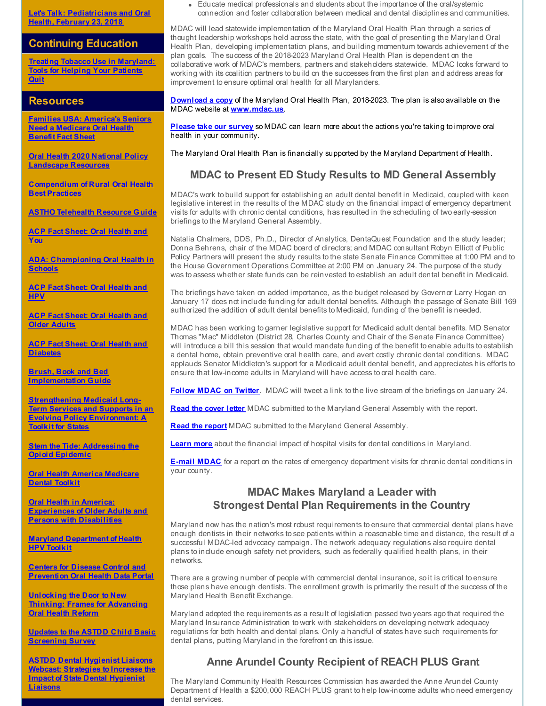**Let's Talk: [Pediatricians](http://r20.rs6.net/tn.jsp?f=001yofpjRohSO_ppen4TX8l79FDk89SMSW3y1qYXeN4B3GRdXFenT9NL4pO6edjJr7raW2JIy5k045rSZOiP4IDts_cJULIkYgdporjXSZ_k7xUUoBTAAaC2cqFWM_bpPdTH9sf9yzgqxn2-OIjtb5CZNPHJtHbns1sUmlBR-ghNuLFYq3fxzXfDr_kZNenOIP4RLvcvYXheqWRUUhvGJK__-PUoLr6EetgXm4V1zwdeG5ekzBF_yIB6VQCHHNUiOouSTxukN8zydyGXgTcs0hPrqSfmPdFt0-r2QVWAfNuIhoKb36uRS2XzgmbH-rHU2EgzMLCEqaLaRUDn6U4-SmNsJjX9NzYs-CtPPNiyEl2nG7kw-Ket9aaBt_Yu_0rsQRS&c=&ch=) and Oral Health, February 23, 2018**

#### **Continuing Education**

**Treating Tobacco Use in [Maryland:](http://r20.rs6.net/tn.jsp?f=001yofpjRohSO_ppen4TX8l79FDk89SMSW3y1qYXeN4B3GRdXFenT9NL7zCqGZRxKQad4H6woX8IlNQCe2AtClJD9nXGRz_A7zYl-0fFzch5RDS0CbGCriNYOzFG1sLtbWpQf_hL8xdZBpUH9wvnN6a0jKggVffWt-XUPX8IzMvj--0Dbu6SRF9Drstzsynoo_n1GQE2LVR33_W1cZpCZnJ-_aD3-sbGWHmH9OOXv4ivQljCmQnuJXcXEbnPS0E46g0LryMtcoLxGN08w-UW8aGyp9VtzVwRjAFVYG0n3bKDQ-AJLhHkYtsTZDXeQLCbAhoB_SUHPhGVt8E4kft3SZIsA==&c=&ch=) Tools for Helping Your Patients Quit**

#### **Resources**

**Families USA: [America's](http://r20.rs6.net/tn.jsp?f=001yofpjRohSO_ppen4TX8l79FDk89SMSW3y1qYXeN4B3GRdXFenT9NL4pO6edjJr7rUHFfnLDqTbZWtB_5z71W8FHDBCSif4W-ZvmQjg53dPkrAzcx-kMGhwPZpEqI_-I-60DxTl3DGxLNHxWF4CfxK3Kwzg24kK_Gn0oBQSKfTn5_3hoMcD0rcUOG91xYgLpL1rpQUEl-DwYz33dggBvC87C-uxdJ_AB-clgJwInqyD97PIdWK-OVerUNadJVBYMhd3nTvFoq-zRRYyuDmzFr94-fmOjKs3NCbzsArj04eZWf-4NlxBqzYTc41LbHEwav1P1Qbfriwqcoq8OMNuA4qu7JICWuW8yybgQw74Rv2GhUntcA0pFck8SPe5RpF-5vpwNftkiwMItXYFRSz0hSD2Rhap2K8N-pb4usyTSoy4o6SQQmuYJcki4GCrxZx6KT&c=&ch=) Seniors Need a Medicare Oral Health Benefit Fact Sheet**

**Oral Health 2020 National Policy [Landscape](http://r20.rs6.net/tn.jsp?f=001yofpjRohSO_ppen4TX8l79FDk89SMSW3y1qYXeN4B3GRdXFenT9NL8fI6Pbcn4aCBFcT8YZ7aIdw_jbWAVtbl14UPY5pHNV42zB3oO9EqL-Z9qfbaZCLmhY-wVAZ46J8I-HDrcdaz1aZFMQfQR3SbOeCrPixWb1CCuuk-b7S64aYN0e4flR0yiA-EukfmUV3J_u5S0iZWAqn69w8IthEKssfvtSgdSKTlLoE5znJc7rijXR1-r3rP0mazDVi5eQ9-sPMfJ0Wy1I6YwPYBaTJBdgfOETDvpksxuk_uUOq8ZZiq3fTREPP0M59W7b1n7-Gj1xK6sGxCDWMAwA43qFBYXXoIVdd0yeAcceEC7oj_ir7UJ3btmOWcXRU15fnvDymHmQhTgb3vyhFifGRo2G5PKk6mfKGo4miI7taPCueH0AmZS448gLsTW5UIsNQrrrtQz-pVT3AooqC-7ZgsPO9cLZl6qh-SCx66ToAzw3RDJk33JhOLnTEzcJfQj6qWcGEP2wMSHiez9KCH4oelgEDj_qEQmurhedy&c=&ch=) Resources**

**[Compendium](http://r20.rs6.net/tn.jsp?f=001yofpjRohSO_ppen4TX8l79FDk89SMSW3y1qYXeN4B3GRdXFenT9NL8MhtSVQQcu9DP6waRQGvvhLJGpfnSm3aCfcRiwAFra7IR6B2xrKQczC5TYoRcbsZTbxr0F5aKCoOOfWifNeuU1oLNAFI8_9wbevQA4YPUxoB8590H-a8yYVNJb6V_iNo_qIEOjLCyQjaj_thKufID9fWwRLFEAk-bE6gGwCHBOuvsNCPiNlK4cT7iGykRldjoSIrd3DTg6NKXDfggrBRDKeuGOHtHewpf-1ZXtvdSyGqHIDaJEsoIO7GWmtrKvM5O2bG9CXOIPQjsykIE7mRR1AMtdXOeeKsboB0daxxVc2Cdz3WHUFoEGlN85a0LiVv1pA599_D4lt2ol6MhPnovdcHBXfCN0wp0P0WAHSUnCj-AtYTTsv7Rc=&c=&ch=) of Rural Oral Health Best Practices**

**ASTHO [Telehealth](http://r20.rs6.net/tn.jsp?f=001yofpjRohSO_ppen4TX8l79FDk89SMSW3y1qYXeN4B3GRdXFenT9NL8MhtSVQQcu92mg4cYvH2NmEF36FHqTdWUKf4LWxqx_tD7xooXVaIAG7P42X1ByQZSpgjwmim0fLapE7R8tQdwPPo6XJI4mM_0dEan7OA463xACAE1LOSyQDeF9iwrKK42XigQbWaXasW_QngtNmyfGdW8-gixuL6LZj2svstF2L1Ut5lOlUyOUyfeetpNFrAdKAPG2c_aPus9neCCWU7ERUJ9YFb0JP7Jr4SlPwX8B7o7hC0KQESogrEOBnKp9iZh8w6wU5W8OdweLM2BBCHa9KQlT1V_Mhs6uSiZ4J0CPqXA3bTY1_-Hitf6-_ppX7LPRWCo--g90K6is822EuYS7l6fNUWPS9UGzt7qP7GoKk831s9Qh3en2HYWqXwd3lo_3DvrfMS_VyWuQMab0MtAeFfK4cAXBaAw==&c=&ch=) Resource Guide**

**ACP Fact Sheet: Oral [Health](http://r20.rs6.net/tn.jsp?f=001yofpjRohSO_ppen4TX8l79FDk89SMSW3y1qYXeN4B3GRdXFenT9NL4pO6edjJr7r2woB0IpWe9z7GAC7u06vElaJZvUmXn565PEhGHK-r8A7RqKRYE5D5dh3ZcqBriapx_zIfB6eBOC_cJva3Edujh7bI2s2DI1lqe0Kc43laSWGpTriOVuMk4zk9mdD5nih24BT4Ys2GMSed05WMDN-Qma1ZbhRsu5smaAQ7gzS91RulnIscojSDZEGHMbcn8RyphRzfwpvXKy1W41ZS353i6Ic4pVBmfbYwUX4Gh8lHW2-oBGkXKGeRhjQnoiF4_nzifwaMLFVyfnBWnutV49CH13bnDQqTXWblOzSNYGb1-k-kY3En0zSEcZcSfsiQWSqqCUie8Rc4GPXnLHx5iEJbEaQl9foyF6uK7fuvf4WT2LZMqRm7xZ-z4a-UTgK5lexSgNpMd1iBlU=&c=&ch=) and You**

**ADA: [Championing](http://r20.rs6.net/tn.jsp?f=001yofpjRohSO_ppen4TX8l79FDk89SMSW3y1qYXeN4B3GRdXFenT9NL-5sooruxC3uDhyn1M_BlsfE6oSPVgSRZeXCLnBnLuZAOhvl8D0gxJp3-xsQvt0UwtXQWg_RaJvoc5-m42sI__lq3YbTIwrJHkhZwBPzlKzfdwVUun5XUPhx7hrfJMjTvENm9uUmioWyRJMFCAmUqvfUQavl92bifHMyfMV0Iz_FP1kyw9aY3gVbSZ0PhBiXpF6azVSf1JTMPszs5Uo8SnOdWB6KVxCoFTUdBSsKAW_y4jvPzcBtgguWrckBW5RlZwDWC62eESA1d_aDKMwLa89FQaNazSm-OjkIP8x0ZpPPlBD3maUdbPDyn-G9fS6cpXLmJKIaOaz-5Rkdbm92Hnk=&c=&ch=) Oral Health in Schools**

**ACP Fact Sheet: Oral [Health](http://r20.rs6.net/tn.jsp?f=001yofpjRohSO_ppen4TX8l79FDk89SMSW3y1qYXeN4B3GRdXFenT9NL4pO6edjJr7rarnVk1fAykuRvY-uYgMskHhzQ7-ZlacnnwsIfkjnBhW0qHOfnktRhiwN-bFUouf06fuJB-g-aMWS1mRrPUVmACACjOXfZsNsCYdcSmKGks59LYK9yf_SqjBgCRbUDwxxSs9u4rAkEMBXpk81cKBNPXbdqruV6yVp9dM_6YPnyzDCIGbvxzim1vDTiWdOOd2Fqeou7mK3BwRNJNfbZGm1NdD85WOfmq-n9KVl88wa1ijQeiL-y83PdyTh1TLYnI8MFQIpUaxCUHaUlQKkR_zfZ8A_B3KFP0WgCCdYf9oVDZHgdC_NMi-K8E57jrY6uiWnJdK9TkLgfRvJgccVSi8RH_w09esJlBgmdhZfSYCXz-V0vqDkDkXNdcwatLWkSSB078K7isnGcVQ=&c=&ch=) and HPV**

**ACP Fact Sheet: Oral Health and Older [Adults](http://r20.rs6.net/tn.jsp?f=001yofpjRohSO_ppen4TX8l79FDk89SMSW3y1qYXeN4B3GRdXFenT9NL4pO6edjJr7rdGdmiXMn9QZizgstVBMnWYEEU-xkx1sghHAaUXKSvpGESudfXMcV1etExBfzbvtqUW83UNWVPN5uR9d_BHM-cTm9FnO_uJ6UnRFb9Wh21JMRmdgPt2zV289SX8XCXLndRy_wHDa1lwF31u4eY0HlqHt5Lkg9FLBa-tAvRezex2K_twx5MU7ih4ZW1EmFYt1LIOaZB5jiHu4gh9P14XmxymaTwisjAST_Wy2-yixgK-_3yWU-3TevxeYBPtt37aPDRmJUmPMGwiAF5swxDrxaYjV8a4KBXGfybfH7nE4gWY2aJ9K1Gny0CNqg1J0UVMWqH3_jVCqgwaFrkLvodH4KEmGXDsqyYIB7f8T6QcwhuxqheHzWk5cN-Myy541ahn9qczAxQ4860hm8QE3x9JeHzw==&c=&ch=)**

**ACP Fact Sheet: Oral Health and [Diabetes](http://r20.rs6.net/tn.jsp?f=001yofpjRohSO_ppen4TX8l79FDk89SMSW3y1qYXeN4B3GRdXFenT9NL4pO6edjJr7rPOCmHnnHhVpNYjoZUHi-MNHDgIbgJegTdb3NpblDvCtBGkVGKmvdpAf4fIsKvUVLrJN4yuBbGcud42MDHvYxrNt0mazBKiUTzFWNqsO9AZywV5lFtD7DTgzBFa_Vy-uT-jnHmGDSlOPZ4s6MouKQ2GpxqjIj5OMeEYMh4Ndx98BD9G4c5xtdCmbK8jzGSAdLmbvWf0ZUXuxX3gj-VO35yXQA0XvJ8xMgvkDJ-J3kjgxDRLknJH5-99bgNqemXMe94wN_q49NTKHNtHdY0GK-9khzVRChMDaoZPJNQjK4nioGK6Ja9jwIPbxQw6CpEUgsQmswzkAiZL4jLFkbTcZ7tllzNx_Wt_AITL_gZC-bRUiEw9mMP4u9PTupLQbNvxM10Xog9WiT2rI=&c=&ch=)**

**Brush, Book and Bed [Implementation](http://r20.rs6.net/tn.jsp?f=001yofpjRohSO_ppen4TX8l79FDk89SMSW3y1qYXeN4B3GRdXFenT9NL8fI6Pbcn4aC1eWUGCXQdC4PMAwkDb_dEnq9W5i1ROP3Dcn_v9Ogp2_lp-P3O2sWvKD4f35nPbW9ehQHAORUntVllnpEbcclrRdKKKzPScrxYbn3it6nicx5tDFST61qYtppWHyADT417PuBrWopoNM0Gs4BdfULj2VWq9uyQCf2IHpniE_MAU4Nw3SQZvqV4gJv3sLwW2O0itqEDnlDrHTsYdp2H3Wf7mITZ-i5KcykjSpWC2UBzQTJgNahHdEUZISyv7kNrnbLn5V0jmqZnki6MnZT1HIx4QQVFWq-mvDjue5bZGOGeJ2tF5wjWZrYhyvBeCearLoQ_p7a6ZSKmb4xyt92eyTWh3Jg2sg0rQ-yBgAUBY3SbvfBwz4_Esa_VoqMVYNkvqcn&c=&ch=) Guide**

**[Strengthening](http://r20.rs6.net/tn.jsp?f=001yofpjRohSO_ppen4TX8l79FDk89SMSW3y1qYXeN4B3GRdXFenT9NL8fI6Pbcn4aCxu7fCQkd0xpVoNzPoBsgzb41zpk-lNGm5krpddEuWjA1f9C9bbAIBotGCCpc11HxmVB-SSrx2q4SV2a99KodpGgzQN5TRN_9vo-HdAXOMZ6__GE6pbbvr2JevvCmEd3HKU7tj4lYc0hQtPeETXp7aViiMocP8_P4rGzJD19C7s2wJF0Ekz1ABIDq7YS_2RqDDw78b785C0atXwLPPQdi7ywlE9iw7UqtS6KvdaK8rFCNUqKlaLykV93COl_R5CKIhIW3HuFGpTCLDDdiESDSUSN8s-A5_kO8uTzQYgqPTRAvMJ1vlo20D9d501kqegZJKWmbHFpouJSnJIktkMpMHRx1AKm80wDPLYaTYCX1Hu0HLv20cjNySSq7RF_9vYRSU9f-VOryfh_Fv0JPABskHMH29LQUyN1HKA03zkPccZHNM_jrh9tIuKocf_8bcT4IXO9m2w6I77AvjgsHdvhs3eIE0Pz6TwfLEGyTl_K0DBbScx855pgzkcbCwCbxnPBmwxpA5Odb96agn9MygjvEXYb6_K-1z5mUDL5LBkFjYNiiXvzrX87LmWv4JhluDc67CMkjZcuyg6-yT2yEchk-R5egx35HFLQrkA6LPyixYew=&c=&ch=) Medicaid Long-Term Services and Supports in an Evolving Policy Environment: A Toolkit for States**

**Stem the Tide: [Addressing](http://r20.rs6.net/tn.jsp?f=001yofpjRohSO_ppen4TX8l79FDk89SMSW3y1qYXeN4B3GRdXFenT9NL857IP2UAb9X1evCmbdYIbhqcDP8VGIVVtXRs8PHekNA68OWD-LGaLvmug4VjPiOm4kXp0buleEYEklGeNErIXi1m5WttAa4UymdKvf9YjcNd3z7qSjbkD-yZ180KIKbv_FHXSYtQ9lJ0I8OJLXACh-rnefUG1prvZjJf9MvqfulfWIcA1m86xcojng7zVcGKxI-evehejliAyw50Jmxwq7gfdrHmFq2fj27n-3NEcr3NlWRsViFRPIXFOTbgqQaQe3EZFawjaGZzBZpJOr9xS3r98wPWxkpkfR5LZItOtTcMfC9DH6pV2M=&c=&ch=) the Opioid Epidemic**

**Oral Health America [Medicare](http://r20.rs6.net/tn.jsp?f=001yofpjRohSO_ppen4TX8l79FDk89SMSW3y1qYXeN4B3GRdXFenT9NL7OQJNzNJwaOBu2DUfgqayzVfRebbbsvy7efIGGFy71hw4KqW_DS_QDHTj10OUd3eBIYUaUce3b7CZihmhiPj1RojJckgsEPZfaW1dyZGzMeWXY6-ZxD1fXYCoWVIvrNR31r7OCBJ19ZRC9io9tgEMgXk1WixHxo-VrdlD4kiT5gOq9xBz9oRQ4cfT7kaLEDXAHUas05-mEiIxI3aQuyPh_614bJI9VpFCktJ_GoUR2azXugDZogvvjIOxhp-Mi-Ao2NGEwvhOox0Y0C-ibBT4FEBVHzt33w8RNKFZf_3aGFow2fUrP3jbAQUy9J69ii0mJa6rLDbxlI9Pp3SRMm0Jg=&c=&ch=) Dental Toolkit**

**Oral Health in America: [Experiences](http://r20.rs6.net/tn.jsp?f=001yofpjRohSO_ppen4TX8l79FDk89SMSW3y1qYXeN4B3GRdXFenT9NL7zCqGZRxKQalHlHae6XZc_7xIulH0bRCwGaCKhDyEVaoq-GdQedU9Y2j5SetcIIYGwy2rmAMhAyrbp277RX1zNZw_izPRfPGAvLk9dl-Ai5poqQMhUzYr_lKpIYBGmPi6oijWYTaBuqHecdfwEBUx_qv7QCJRMrtGYsjhTMhXhjjhwJAmdv7dHRB7kaia94fwG-t80NHWofh2WC1nACr03L5vHgPZxDT7man7xL1PSSu7Xd0ZbMjNX0NSnYosB9OxupZH8aReGx28kCCHxCKcb_EcVF0bkZHpKyfva2Mh3K91cfKnH4kF-LM-gGU-AnPllBtMgIT7-MbUFN5LwalbP2Rn5pyVh-NlEHvt0IXVlRgVUNL1uCdZI=&c=&ch=) of Older Adults and Persons with Disabilities**

**Maryland [Department](http://r20.rs6.net/tn.jsp?f=001yofpjRohSO_ppen4TX8l79FDk89SMSW3y1qYXeN4B3GRdXFenT9NL7OQJNzNJwaO3tTp8g5OOWWOEILatNvigRcuJboKpxB2vjRX9PQkDo-s0KMBUJA48Q_VArjmKrdW68UMALLqdX2v9HQkCtTYoE6RHa1XzhF5gcBteJ6x-jshRuRInvAHi9gmYy6tH04iW40LQc42oGhNC5sm2WPjMNA8nKj0cx4GrFhfQezkSiqYaUTSbHPLjkiAXhcPS_gvE1Hm-7UVg-kUb3wqMelPWdoqKQPSeTkp5TfhTOqu1DQdTTQ1TJMsVY6_3lS1FzVdtnCYerc-PlDROcO7zfQw3xZTSL7prccNyv_t_-4zKr_CePIG1QKwag==&c=&ch=) of Health HPV Toolkit**

**Centers for Disease Control and [Prevention](http://r20.rs6.net/tn.jsp?f=001yofpjRohSO_ppen4TX8l79FDk89SMSW3y1qYXeN4B3GRdXFenT9NL7zCqGZRxKQassQXC3DdO0rR_DCmcrX2NVniDEvUPzvCpqf7pdSSsj47t-LsFVNRLIbt3pt373Yr5XQKlVwxl2RpesC2QwWFVEEBmw9CKFmblY-QQglx1lW2YacVL_4aW1446K8oeccH3L2jhxeNI4mbu3L6hNktm4KyBOvEYTS2MEDAbQHC7RWsNL6MqpRA3AuYCuWdfeVfHuPpvo5EsGQXTgD5PyUXUkBWN93w7I8wf49T-VuWN8_W1OZg9M6IgTKE-kabt3Wj2EH0SYy-2unk-UUnVoYd6CT2octwQV2lU19qgkPRo_4=&c=&ch=) Oral Health Data Portal**

**Unlocking the Door to New Thinking: Frames for [Advancing](http://r20.rs6.net/tn.jsp?f=001yofpjRohSO_ppen4TX8l79FDk89SMSW3y1qYXeN4B3GRdXFenT9NL7zCqGZRxKQa_ZkJRUPggxCv1_YnwlFShT-SPsAogzO1ZcsyGI9JwuXnXfVFoX44E-Oa2WyL5FJkMwG0BMLWjmR-DZRp0Ikn9DyjtTcwaU4A6blWa6InyNRKL1gRMTSfE5dBDHXL2Sux-ic1t7KdWueskrZjE2i-prARC4iYYDkmdh3AC8JPrXUndU9VOC6hubTWzHfgWk_Cs05QRn9bmFODJDiV1ssC5k3Kz543gx3W9LrOMdQcz11NnaSyDERp6_ot0PfavWvRO1NxeGi7ycFK1-J_yDbI9Dz2Ey5QZ1Yk5Yq9N5-zQL56ornS_Yd4k9A1rz1lmtxBjHWmzitRbpT7FYKllkJVSViY4Osrfim8hqNtQw1vCZRyCeEPK8knwA==&c=&ch=) Oral Health Reform**

**Updates to the ASTDD Child Basic [Screening](http://r20.rs6.net/tn.jsp?f=001yofpjRohSO_ppen4TX8l79FDk89SMSW3y1qYXeN4B3GRdXFenT9NL7OQJNzNJwaOIy-gYdOjwCfa2ZfOD5F6ZfueiqYFSBXJbHr7i1U1wUt00-EO_IGyWrLqzEeEjm5jBftg5fIfFhL5fLBdWTaRazMkagPO5Kb7sIDkQe4DOZMivbu5vTz8qKw_FOOcSySNZQJgLAEKaef-tEqEMLUKDO1eamD1qS8uRn4tExdLdHnym5nWqj9vjLWwyKt8lP2dxhCfijTe4DT-_XaT-nHprTU-xHAq_vUZ02K4D-BeDE7YsypW7iKepJ_FyUDhoAu_NhWpRr4Fld7VqK-Jp7HW5gIqnXVN7GZRnqoSDjQwNTFJw0XA-f4u8Q==&c=&ch=) Survey**

**ASTDD Dental Hygienist Liaisons Webcast: [Strategies](http://r20.rs6.net/tn.jsp?f=001yofpjRohSO_ppen4TX8l79FDk89SMSW3y1qYXeN4B3GRdXFenT9NL7OQJNzNJwaOcbK6CGk5LXt2qJWGWcO5BvODcxMFeRFESIfuV5YmLDmAlgyj0nIo7yxDkewpuhm267oeCUxPt9GzqyIaqzAlC__f4f2sXOuW4tsFyIhJ5LEot3H35beN2BXuT2djmvznyniYcbBtxopGwmJQuCFLAGTOPvINPvSO_Y2pHPwyIkYjNV2Ufiq4SDf2B_ny3-wv9VnEMP00SsuiC8y097Sarkx4oMgQ-K3mrwVyomQ9EFR5urXLynQ-vO_sz3QZ9j_fnsbcw_sq0Xu0tVTSkZMLZ2lCFtIKXMpgU-RYbfYBaBuk2Jc-X2QUaDqG0vgL10dGSDvxM2IWwBk=&c=&ch=) to Increase the Impact of State Dental Hygienist Liaisons**

Educate medical professionals and students about the importance of the oral/systemic  $\bullet$ connection and foster collaboration between medical and dental disciplines and communities.

MDAC will lead statewide implementation of the Maryland Oral Health Plan through a series of thought leadership workshops held across the state, with the goal of presenting the Maryland Oral Health Plan, developing implementation plans, and building momentum towards achievement of the plan goals. The success of the 2018-2023 Maryland Oral Health Plan is dependent on the collaborative work of MDAC's members, partners and stakeholders statewide. MDAC looks forward to working with its coalition partners to build on the successes from the first plan and address areas for improvement to ensure optimal oral health for all Marylanders.

**[Download](http://r20.rs6.net/tn.jsp?f=001yofpjRohSO_ppen4TX8l79FDk89SMSW3y1qYXeN4B3GRdXFenT9NL4pO6edjJr7r3l5DTZXowIJXBJJj2ad0uQcrF1U5tQDTct8LmNctyd24I5WhocgTEggFNujWKZ2q0EBROBgiiXDT8iDB41iOtCs7fIDcDOjUyGlMDssRBNTXm6MYCsFwiKgCQwwq4cbmUymGrLddLoAEMzSlgERFuJbGMpaehn4YNJODr9KBMmmNCSzM9zh_x4eEMD_9rNUMp3SkFRtZAOkOaXfSHk9Vdq06_v64kxzM2mTIYqUjHGA5TP9AQE2IcGjglQZkD8hvswNuo7aYmJmTEQZ4QxTm0BsY-OHJj_hqn9pwxv4Ymg0=&c=&ch=) a copy** of the Maryland Oral Health Plan, 2018-2023. The plan is also available on the MDAC website at **[www.mdac.us](http://r20.rs6.net/tn.jsp?f=001yofpjRohSO_ppen4TX8l79FDk89SMSW3y1qYXeN4B3GRdXFenT9NL_KJmr3HCc7piXC6qGiFUmMHcjhOKYQskr9gxzVUgPsVjvwnL8eKccX7cL5iaJ7brzosFtWyyQULi3CuseKoX0ZXfl4T4rR0fDGRmYLErYLr7a1E-thf465mS7HiOJ8bMV_uONijlgXC4g9kRK4VK56ZuwELno36f-RlOg3SdLTSzeHeBuMell-xvQwJ80DXXAzUeMWup5ycycQKs5JcI9aOVx__Yl995E5lHmE11R8WlcdaeTZNlYAjTMSXY5YzvznR66-XPkhy&c=&ch=)**.

**[Please](http://r20.rs6.net/tn.jsp?f=001yofpjRohSO_ppen4TX8l79FDk89SMSW3y1qYXeN4B3GRdXFenT9NL4pO6edjJr7rquX_uArDHPPf9TU1y6GRI0FNTzKb3BRtFaG9iciYlQS6gq6uSmp3xFKB2t8ar36xwc4IRu86VEqpHPS3vA29kASxmnjd-IQNeqWkU2ocA7GtakX4xIlPKGHz3gAERSAAlVwmwLqMmsPTPsE3pGblpdzLglaNQSvCNAsqGrziFNk0vXHz6jJf-2cC7xd9qfRAYged2u_lHw9E84GyxlzdO9lX1I0mb2p6FGIvJEVnAIFhMzL86FQBtgEDAXQUheuJbMB8xUlIxu4r85m-zFXWGIA7poIC1tyK&c=&ch=) take our survey** so MDAC can learn more about the actions you're taking to improve oral health in your community.

The Maryland Oral Health Plan is financially supported by the Maryland Department of Health.

## **MDAC to Present ED Study Results to MD General Assembly**

MDAC's work to build support for establishing an adult dental benefit in Medicaid, coupled with keen legislative interest in the results of the MDAC study on the financial impact of emergency department visits for adults with chronic dental conditions, has resulted in the scheduling of two early-session briefings to the Maryland General Assembly.

Natalia Chalmers, DDS, Ph.D., Director of Analytics, DentaQuest Foundation and the study leader; Donna Behrens, chair of the MDAC board of directors; and MDAC consultant Robyn Elliott of Public Policy Partners will present the study results to the state Senate Finance Committee at 1:00 PM and to the House Government Operations Committee at 2:00 PM on January 24. The purpose of the study was to assess whether state funds can be reinvested to establish an adult dental benefit in Medicaid.

The briefings have taken on added importance, as the budget released by Governor Larry Hogan on January 17 does not include funding for adult dental benefits. Although the passage of Senate Bill 169 authorized the addition of adult dental benefits to Medicaid, funding of the benefit is needed.

MDAC has been working to garner legislative support for Medicaid adult dental benefits. MD Senator Thomas "Mac" Middleton (District 28, Charles County and Chair of the Senate Finance Committee) will introduce a bill this session that would mandate funding of the benefit to enable adults to establish a dental home, obtain preventive oral health care, and avert costly chronic dental conditions. MDAC applauds Senator Middleton's support for a Medicaid adult dental benefit, and appreciates his efforts to ensure that low-income adults in Maryland will have access to oral health care.

**[Follow](http://r20.rs6.net/tn.jsp?f=001yofpjRohSO_ppen4TX8l79FDk89SMSW3y1qYXeN4B3GRdXFenT9NLyhB_MVP7GaHd6LDH4FIjBCJdxygsd-Hpfh9IQB6w9peG21hJCXIuro7Dg5_rSKTqgs09q41j4UZ9GcOp68H8erkDiWPxwTIGGDPutUyJ2MiumNxcMGQ-iyJsKNzWexObg==&c=&ch=) MDAC on Twitter**. MDAC will tweet a link to the live stream of the briefings on January 24.

**Read the [cover](http://r20.rs6.net/tn.jsp?f=001yofpjRohSO_ppen4TX8l79FDk89SMSW3y1qYXeN4B3GRdXFenT9NL4pO6edjJr7rvHt7HrKP73YMQJZYNOcvuL2Ll_wB-GVK4s9UQ8Fo_fnB9XsrNYrsXEk9wXf_xgRpEQyzpjQe_jPuxcSkndJQFkFAuJD8j5jHuZ0iDUzVxrmCpsU-VVl9mLyVFajUWgeP9LPe3GSGHZukZImO46IdMLheYFoHGHdvKXTcIbuhPzICnPeO1-CswsElSDX22aPVWlLTIzwZ87hz0zFii1tZHbbKHQcUD-pxKsR1Iyw6QV9xOJBRloXZ61t1H9S9QgRnHt13PjqTwMjFRSB4JZ5N8Jb-biWzFrefuo2DwBDRiKXQiF-Dm82GFV7QiGh70TpHwrzOsnjKJOy9-29nimMi3vFtN0uT5Tps&c=&ch=) letter** MDAC submitted to the Maryland General Assembly with the report.

**Read the [report](http://r20.rs6.net/tn.jsp?f=001yofpjRohSO_ppen4TX8l79FDk89SMSW3y1qYXeN4B3GRdXFenT9NL4pO6edjJr7rHaaBwde4NGAtQ4vEM90VUW6MxVVNK7lbwXjiSJicW3RRdXWiaNph3jJYMqBkayrmQyIRSpWxH9Isrcsfq9cxjRIT5mblElICBkJKvSGnWOIQGj5hFyKbQPA4KYGZa9n3Aapk38uFs52ycapTPrBz7zaZOg-SBz_qiRramX-RoIeLXMUcWG-gjvRhOYgPFyFurEI5xowRCLxIrqecZVH-FjRkCEXBZ_IlCpAz7Q3liA1ucK1XpDhxgLgeSLtl78gbtWDZjIY2oocrHVyk5Flj-YjoCK2ua7Z2H7eSsC54rnB0YHZZxsSEzlVUXbbZG8et8_tZ_2ZccYyqALUZUsLIDPFkhpFb-ygie3QRMZWL8LgMcT0f6rMKU1kFeXljm-tPznNJTHJemHdLwuKf_XY6otFY56QiikWvKaROcEUA1xpgHvJmIeN4Qg==&c=&ch=)** MDAC submitted to the Maryland General Assembly.

**[Learn](http://r20.rs6.net/tn.jsp?f=001yofpjRohSO_ppen4TX8l79FDk89SMSW3y1qYXeN4B3GRdXFenT9NL4pO6edjJr7r-vqK0h1mnqoT6UuV1wE-BvITvZCFaGAiPCkjVbmSvjqVq4GuY8V6loqiJtlJsmRp_PgxrB2rdeJlTqmpFgxujx_rlprsiHD2cjaC9ZC4qOOA60iy0aUnvtJhjYiGGL7pCjMPofbHuJK3-XaeMi5BH_5zNrDcZ41PDeeb1k7O8TJHX9x5v5nicCzxq-ju1d86kNM5uVdLPErmNCq9NeS3YWAPPtxB85CSTFhIxJebtwj7HTcjwGuDXi9zbxzhGTuwqzg8E1rvmIM0fsVg6wrIOShpRjVOzUvjPr7ze5XrDI_guoBv9Clvx-War0B-nhrz&c=&ch=) more** about the financial impact of hospital visits for dental conditions in Maryland.

**[E-mail](mailto:mbackley@mdac.us) MDAC** for a report on the rates of emergency department visits for chronic dental conditions in your county.

## **MDAC Makes Maryland a Leader with Strongest Dental Plan Requirements in the Country**

Maryland now has the nation's most robust requirements to ensure that commercial dental plans have enough dentists in their networks to see patients within a reasonable time and distance, the result of a successful MDAC-led advocacy campaign. The network adequacy regulations also require dental plans to include enough safety net providers, such as federally qualified health plans, in their networks.

There are a growing number of people with commercial dental insurance, so it is critical to ensure those plans have enough dentists. The enrollment growth is primarily the result of the success of the Maryland Health Benefit Exchange.

Maryland adopted the requirements as a result of legislation passed two years ago that required the Maryland Insurance Administration to work with stakeholders on developing network adequacy regulations for both health and dental plans. Only a handful of states have such requirements for dental plans, putting Maryland in the forefront on this issue.

# **Anne Arundel County Recipient of REACH PLUS Grant**

The Maryland Community Health Resources Commission has awarded the Anne Arundel County Department of Health a \$200,000 REACH PLUS grant to help low-income adults who need emergency dental services.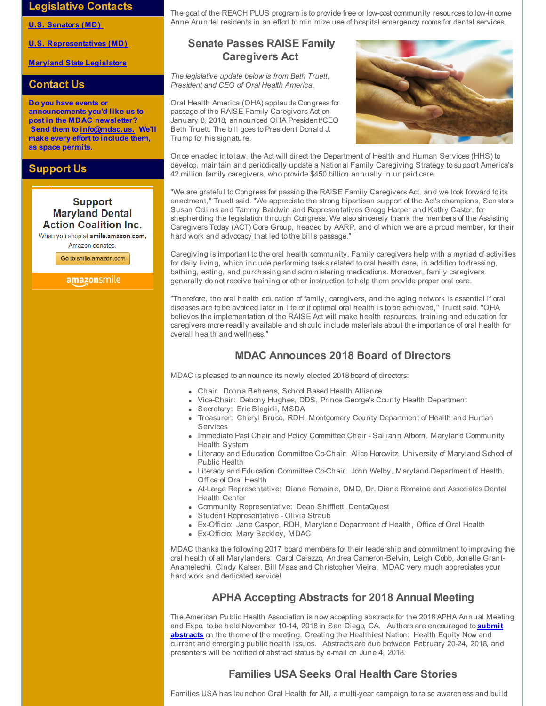#### **Legislative Contacts**

**U.S. [Senators](http://r20.rs6.net/tn.jsp?f=001yofpjRohSO_ppen4TX8l79FDk89SMSW3y1qYXeN4B3GRdXFenT9NL8fI6Pbcn4aCHpDCmL445DZGTxMmBLT7wHJWGxDsSrFD9sAwHMKDgS1TC6WxH10sxcEtO4RPf3V2PMsG7gAO2IzSFnK-FIEPlOjOwg6wfywr7511OxQjOXWzXBk2ORtaHcRsj3NeEnn5dgf33kgXi0-UQB-6j90NFR7UKgaeuBNvXk7OoiSmufazhckvnw9nLgbNyfwETpnGTOn4pVe-9RoG0O_RGzn_82LT5HtlJsK1SXFrsVJBElMUgtx35Kyq2dFD7DRLvsU9FxpWTnYDp-fv4OoeeoZNrkfnGp18F0H0mk_fWGNIUK9FTwkEViFt7YPl6CEq8XZAv_faGriC1nvk4Anj-xzCPw==&c=&ch=) (MD)**

**U.S. [Representatives](http://r20.rs6.net/tn.jsp?f=001yofpjRohSO_ppen4TX8l79FDk89SMSW3y1qYXeN4B3GRdXFenT9NL8QhWg6-3--H8d2XdJP0GGviFTTNKZPyGa8G8IH77zdhftlOivVF-mNSCHeECKvwATX6ZqNVGFfeXl4yhu3xA8CB5G7Wgphqn8mVS2wBPsoux1AQRNKz0MrhQNh8nj9xRtVQq1Vx9eWPfT9rtT4XRi8e9Y5U9ZsgiqUrX_VvpSzDykHP0PKf0jmkPpwiHLL8RW_PhtKvfLXCxtaexsoVEy8waJryeh2C7uDc4FKEEQLQK2Bg8oz5YZ7dzfLPtMQZnlZZAqMBFZTStKuJbYIQcSJRURxLTQHMWqlWWNwkOd7PGnafrZzBgmUKfEMRAxHyQnFWfbWfcX2QLT0uexYnhpuXGderfDQfkg==&c=&ch=) (MD)**

**Maryland State [Legislators](http://r20.rs6.net/tn.jsp?f=001yofpjRohSO_ppen4TX8l79FDk89SMSW3y1qYXeN4B3GRdXFenT9NL8QhWg6-3--HMUNproscQrU9l5SvUKU_6gL7GfROxg4sOmUbukZUAMaA9Wl1vdV7F0LUFF4FWJskadH_GZL8yCgxwXS77Gi5VE7Zq1CN-pMV35xH98Z09SLzcl49Q8mNvzoGjLl0FRep10kDV7mtlfennmK2EReoASaFGDF2nS1tVvyf_Qay2BQfeuYAZnOhnvHIcwMS2IZfkIRNMCwp-dqN55aHUOJUnm6wE7v_BrbJpvXGecQzslFC1dHCBM8tYa5eo-L3n3AfegVlyphhsc81NClDXfdtvnIzUOwutlvUaVR-vm6m7s-XMk00iapF6FJbVtptk6MasywSkjVH-bMx9yosNl8cRA==&c=&ch=)**

## **Contact Us**

**Do you have events or announcements you'd like us to post in the MDAC newsletter? Send them to [info@mdac.us.](mailto:info@mdac.us) We'll make every effort to include them, as space permits.**

#### **Support Us**

#### **Support Maryland Dental Action Coalition Inc.**

When you shop at smile.amazon.com, Amazon donates

Go to smile.amazon.com

#### **amazonsmile**

The goal of the REACH PLUS program is to provide free or low-cost community resources to low-income Anne Arundel residents in an effort to minimize use of hospital emergency rooms for dental services.

### **Senate Passes RAISE Family Caregivers Act**

*The legislative update below is from Beth Truett, President and CEO of Oral Health America.*

Oral Health America (OHA) applauds Congress for passage of the RAISE Family Caregivers Act on January 8, 2018, announced OHA President/CEO Beth Truett. The bill goes to President Donald J. Trump for his signature.



Once enacted into law, the Act will direct the Department of Health and Human Services (HHS) to develop, maintain and periodically update a National Family Caregiving Strategy to support America's 42 million family caregivers, who provide \$450 billion annually in unpaid care.

"We are grateful to Congress for passing the RAISE Family Caregivers Act, and we look forward to its enactment," Truett said. "We appreciate the strong bipartisan support of the Act's champions, Senators Susan Collins and Tammy Baldwin and Representatives Gregg Harper and Kathy Castor, for shepherding the legislation through Congress. We also sincerely thank the members of the Assisting Caregivers Today (ACT) Core Group, headed by AARP, and of which we are a proud member, for their hard work and advocacy that led to the bill's passage."

Caregiving is important to the oral health community. Family caregivers help with a myriad of activities for daily living, which include performing tasks related to oral health care, in addition to dressing, bathing, eating, and purchasing and administering medications. Moreover, family caregivers generally do not receive training or other instruction to help them provide proper oral care.

"Therefore, the oral health education of family, caregivers, and the aging network is essential if oral diseases are to be avoided later in life or if optimal oral health is to be achieved," Truett said. "OHA believes the implementation of the RAISE Act will make health resources, training and education for caregivers more readily available and should include materials about the importance of oral health for overall health and wellness."

## **MDAC Announces 2018 Board of Directors**

MDAC is pleased to announce its newly elected 2018 board of directors:

- Chair: Donna Behrens, School Based Health Alliance
- Vice-Chair: Debony Hughes, DDS, Prince George's County Health Department
- Secretary: Eric Biagioli, MSDA
- Treasurer: Cheryl Bruce, RDH, Montgomery County Department of Health and Human **Services**
- Immediate Past Chair and Policy Committee Chair Salliann Alborn, Maryland Community Health System
- Literacy and Education Committee Co-Chair: Alice Horowitz, University of Maryland School of Public Health
- Literacy and Education Committee Co-Chair: John Welby, Maryland Department of Health, Office of Oral Health
- At-Large Representative: Diane Romaine, DMD, Dr. Diane Romaine and Associates Dental Health Center
- Community Representative: Dean Shifflett, DentaQuest
- Student Representative Olivia Straub
- Ex-Officio: Jane Casper, RDH, Maryland Department of Health, Office of Oral Health
- Ex-Officio: Mary Backley, MDAC

MDAC thanks the following 2017 board members for their leadership and commitment to improving the oral health of all Marylanders: Carol Caiazzo, Andrea Cameron-Belvin, Leigh Cobb, Jonelle Grant-Anamelechi, Cindy Kaiser, Bill Maas and Christopher Vieira. MDAC very much appreciates your hard work and dedicated service!

## **APHA Accepting Abstracts for 2018 Annual Meeting**

The American Public Health Association is now accepting abstracts for the 2018 APHA Annual Meeting and Expo, to be held November 10-14, 2018 in San Diego, CA. Authors are [encouraged](http://r20.rs6.net/tn.jsp?f=001yofpjRohSO_ppen4TX8l79FDk89SMSW3y1qYXeN4B3GRdXFenT9NL-5sooruxC3uevOnYRAC395NXSYVWYyIHfIg8TKd7lhjVCZttxcTQMA7jn-zmy9IZb8CTuv15HtfOgLnsuuMWHW8b7DqppirU_0c7TpKzXLzciDA7oAgUTIA5Aa6LfQVs62M-HYO7n9piTIFKbK7cxl1_9HWczLaYgPKHqDG1GK2OR9luOc1WqplOV7snGYsHCesY4kEPsMnKQVp3z4JgInD1UXxVI0R2_b5eVHp8UPbnykduQ-MvISKF35Sm6vw-9fhkD_dXK9NbgdnjITdO7bSzIPwg27FcRY7QJB8XPcDNwDIRHRuma7lAEc5cZmzYg==&c=&ch=) to **submit abstracts** on the theme of the meeting, Creating the Healthiest Nation: Health Equity Now and current and emerging public health issues. Abstracts are due between February 20-24, 2018, and presenters will be notified of abstract status by e-mail on June 4, 2018.

## **Families USA Seeks Oral Health Care Stories**

Families USA has launched Oral Health for All, a multi-year campaign to raise awareness and build